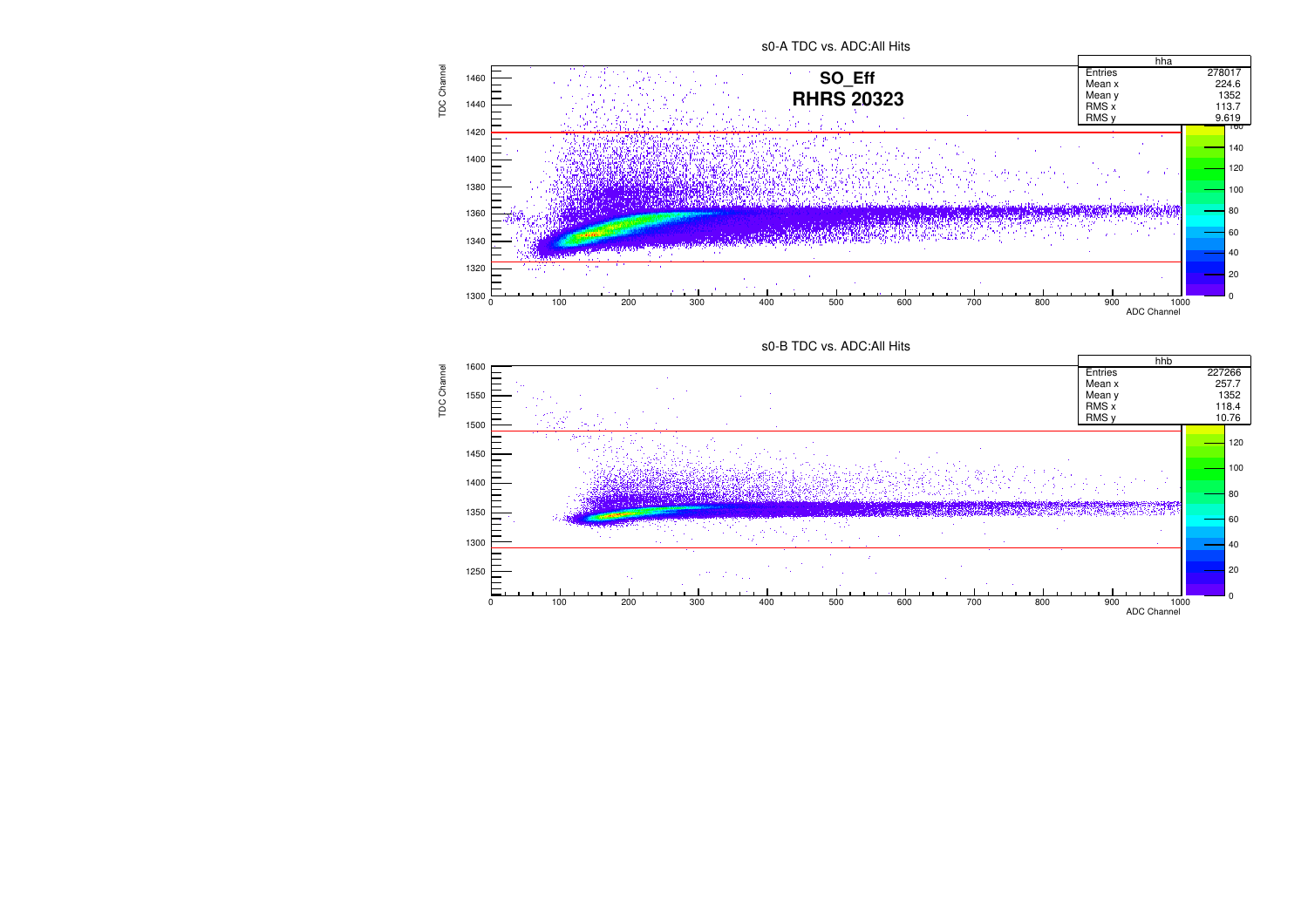## s0-A TDC vs. ADC:All Hits





**TDC Channel** TDC Channel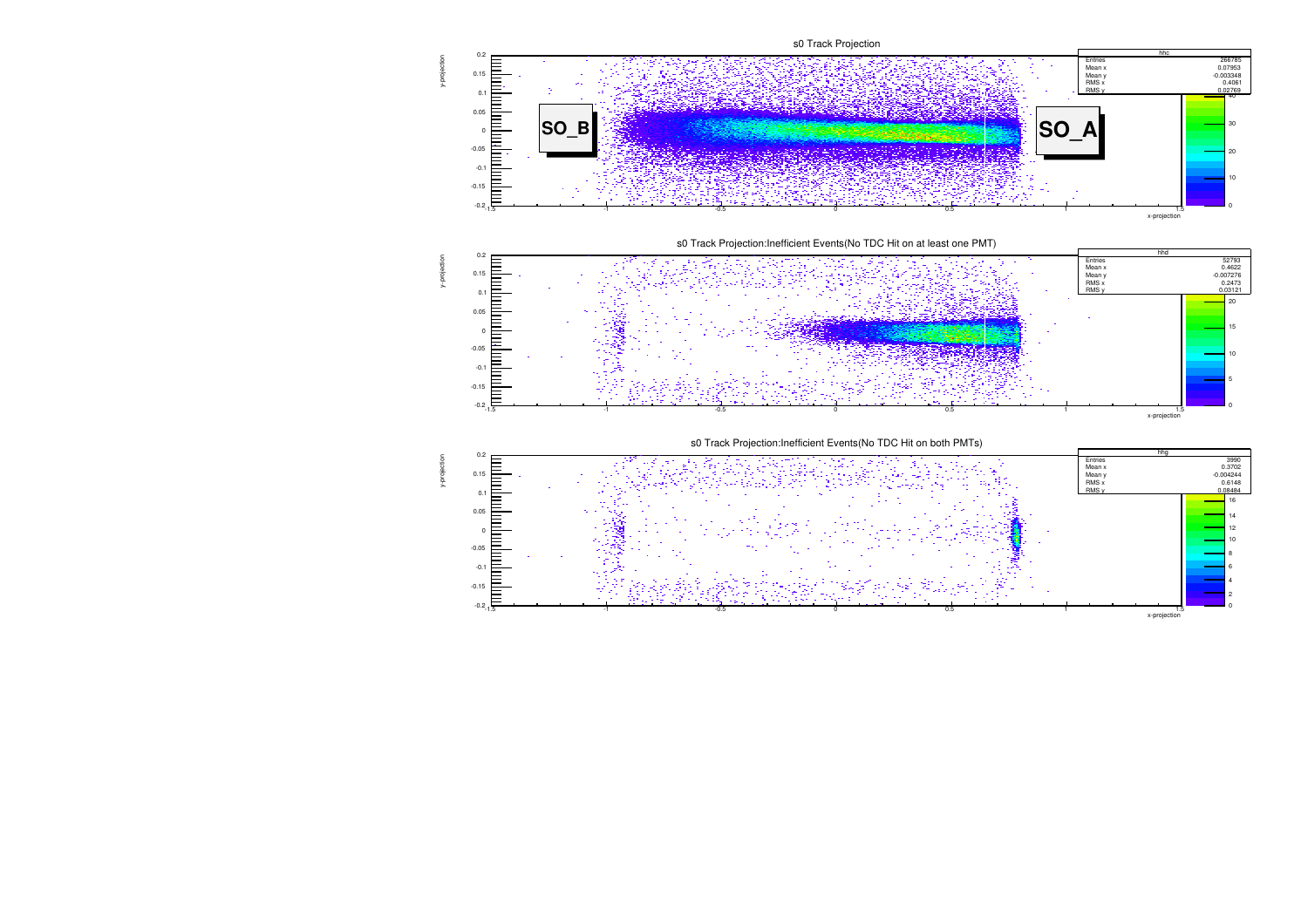

y-projection

y-projection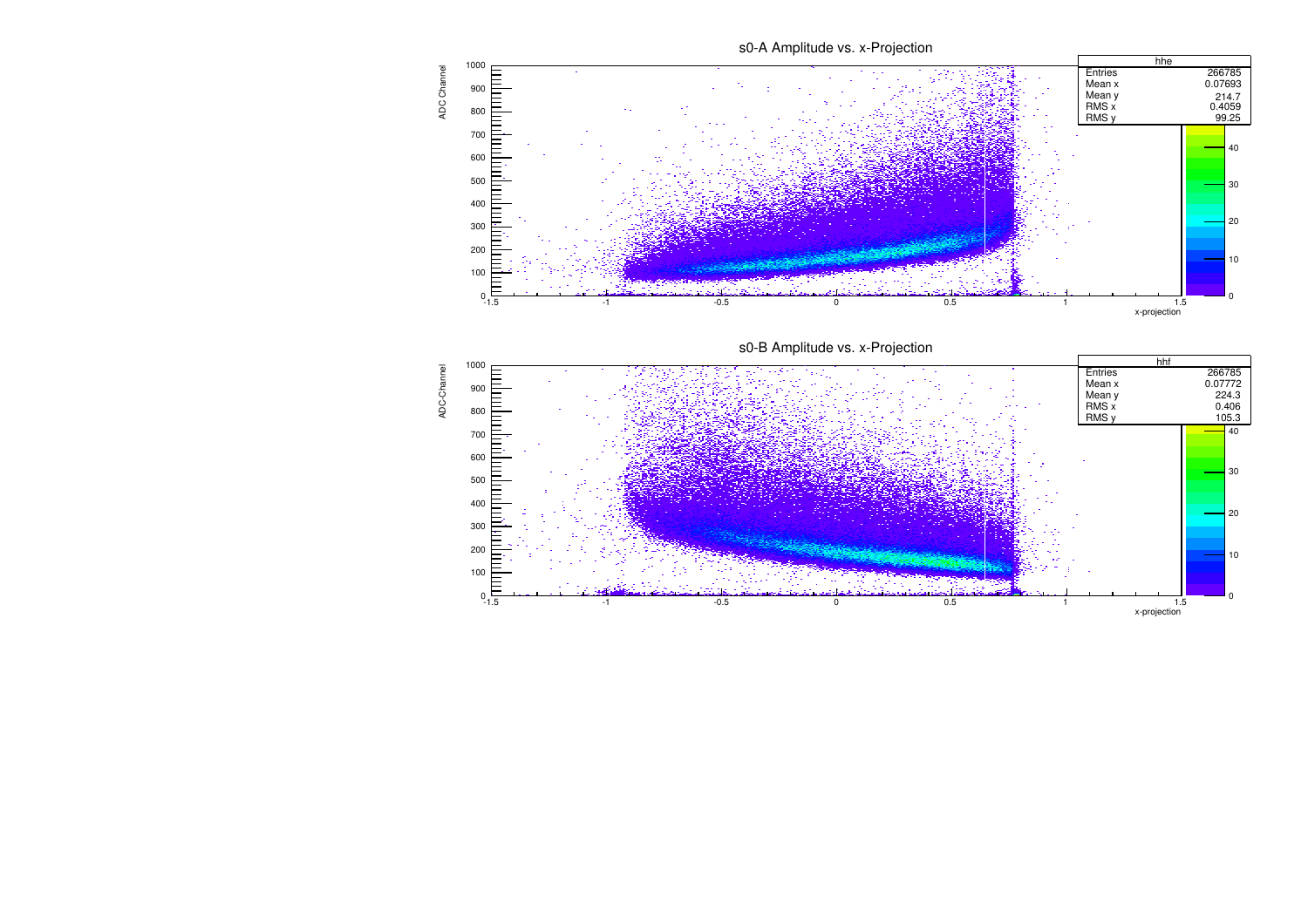s0-A Amplitude vs. x-Projection



s0-B Amplitude vs. x-Projection



ADC-Channel

ADC-Channel